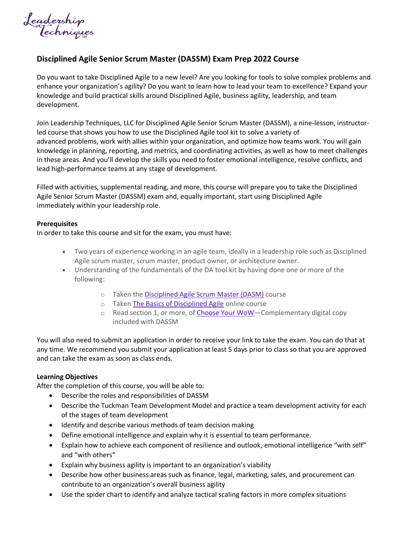*<u>Jeadership</u>*<br>Techniques

## **Disciplined Agile Senior Scrum Master (DASSM) Exam Prep 2022 Course**

Do you want to take Disciplined Agile to a new level? Are you looking for tools to solve complex problems and enhance your organization's agility? Do you want to learn how to lead your team to excellence? Expand your knowledge and build practical skills around Disciplined Agile, business agility, leadership, and team development.

Join Leadership Techniques, LLC for Disciplined Agile Senior Scrum Master (DASSM), a nine-lesson, instructorled course that shows you how to use the Disciplined Agile tool kit to solve a variety of advanced problems, work with allies within your organization, and optimize how teams work. You will gain knowledge in planning, reporting, and metrics, and coordinating activities, as well as how to meet challenges in these areas. And you'll develop the skills you need to foster emotional intelligence, resolve conflicts, and lead high-performance teams at any stage of development.

Filled with activities, supplemental reading, and more, this course will prepare you to take the Disciplined Agile Senior Scrum Master (DASSM) exam and, equally important, start using Disciplined Agile immediately within your leadership role.

## **Prerequisites**

In order to take this course and sit for the exam, you must have:

- Two years of experience working in an agile team, ideally in a leadership role such as Disciplined Agile scrum master, scrum master, product owner, or architecture owner.
- Understanding of the fundamentals of the DA tool kit by having done one or more of the following:
	- o Taken the [Disciplined Agile Scrum Master \(DASM\)](https://www.pmi.org/certifications/agile-certifications/disciplined-agile-scrum-master-dasm) course
	- o Taken [The Basics of Disciplined Agile](https://www.pmi.org/shop/p-/elearning/basics-of-disciplined-agile-online-course/dabasicselrn) online course
	- o Read section 1, or more, of [Choose Your WoW](https://www.pmi.org/disciplined-agile/books/dad-handbook)-Complementary digital copy included with DASSM

You will also need to submit an application in order to receive your link to take the exam. You can do that at any time. We recommend you submit your application at least 5 days prior to class so that you are approved and can take the exam as soon as class ends.

## **Learning Objectives**

After the completion of this course, you will be able to:

- Describe the roles and responsibilities of DASSM
- Describe the Tuckman Team Development Model and practice a team development activity for each of the stages of team development
- Identify and describe various methods of team decision making
- Define emotional intelligence and explain why it is essential to team performance.
- Explain how to achieve each component of resilience and outlook, emotional intelligence "with self" and "with others"
- Explain why business agility is important to an organization's viability
- Describe how other business areas such as finance, legal, marketing, sales, and procurement can contribute to an organization's overall business agility
- Use the spider chart to identify and analyze tactical scaling factors in more complex situations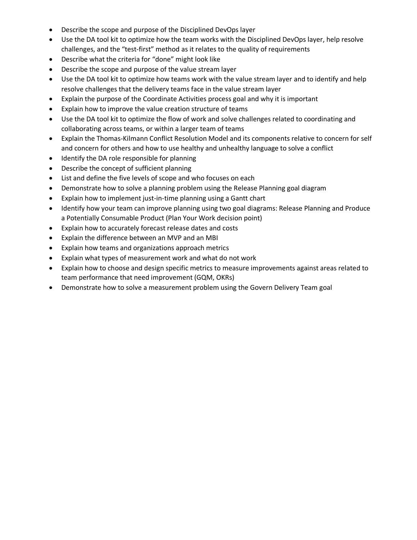- Describe the scope and purpose of the Disciplined DevOps layer
- Use the DA tool kit to optimize how the team works with the Disciplined DevOps layer, help resolve challenges, and the "test-first" method as it relates to the quality of requirements
- Describe what the criteria for "done" might look like
- Describe the scope and purpose of the value stream layer
- Use the DA tool kit to optimize how teams work with the value stream layer and to identify and help resolve challenges that the delivery teams face in the value stream layer
- Explain the purpose of the Coordinate Activities process goal and why it is important
- Explain how to improve the value creation structure of teams
- Use the DA tool kit to optimize the flow of work and solve challenges related to coordinating and collaborating across teams, or within a larger team of teams
- Explain the Thomas-Kilmann Conflict Resolution Model and its components relative to concern for self and concern for others and how to use healthy and unhealthy language to solve a conflict
- Identify the DA role responsible for planning
- Describe the concept of sufficient planning
- List and define the five levels of scope and who focuses on each
- Demonstrate how to solve a planning problem using the Release Planning goal diagram
- Explain how to implement just-in-time planning using a Gantt chart
- Identify how your team can improve planning using two goal diagrams: Release Planning and Produce a Potentially Consumable Product (Plan Your Work decision point)
- Explain how to accurately forecast release dates and costs
- Explain the difference between an MVP and an MBI
- Explain how teams and organizations approach metrics
- Explain what types of measurement work and what do not work
- Explain how to choose and design specific metrics to measure improvements against areas related to team performance that need improvement (GQM, OKRs)
- Demonstrate how to solve a measurement problem using the Govern Delivery Team goal